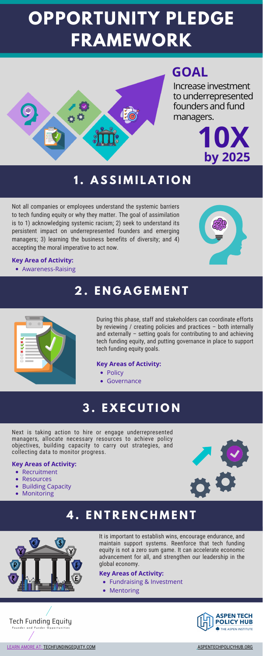# **OPPORTUNITY PLEDGE FRAMEWORK**



Not all companies or employees understand the systemic barriers to tech funding equity or why they matter. The goal of assimilation is to 1) acknowledging systemic racism; 2) seek to understand its persistent impact on underrepresented founders and emerging managers; 3) learning the business benefits of diversity; and 4) accepting the moral imperative to act now.



It is important to establish wins, encourage endurance, and maintain support systems. Reenforce that tech funding equity is not a zero sum game. It can accelerate economic advancement for all, and strengthen our leadership in the global economy.

- Policy
- Governance

- Fundraising & Investment
- Mentoring





[LEARN AMORE AT: TECHFUNDINGEQUITY.COM](http://www.techfundingequity.com/) [ASPENTECHPOLICYHUB.ORG](https://www.aspentechpolicyhub.org/)

During this phase, staff and stakeholders can coordinate efforts by reviewing / creating policies and practices – both internally and externally – setting goals for contributing to and achieving tech funding equity, and putting governance in place to support tech funding equity goals.

Next is taking action to hire or engage underrepresented managers, allocate necessary resources to achieve policy objectives, building capacity to carry out strategies, and collecting data to monitor progress.

## **1 . A S S I M I L A T I O N**

# **2 . E N G A G E M E N T**



# **3 . E X E C U T I O N**

# **4 . E N T R E N C H M E N T**



#### **Key Areas of Activity:**

Awareness-Raising

#### **Key Area of Activity:**

#### **Key Areas of Activity:**

- Recruitment
- **Resources**
- Building Capacity
- Monitoring



#### **Key Areas of Activity:**

# **GOAL**

Increase investment to underrepresented founders and fund managers.